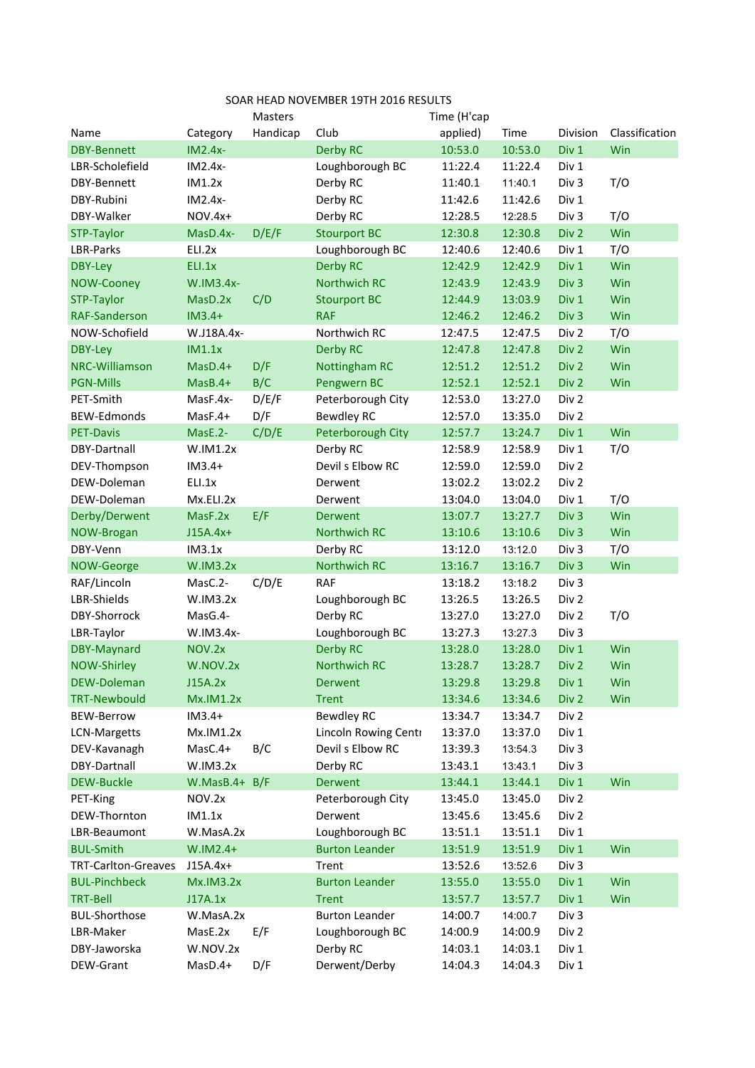| SOAR HEAD NOVEMBER 19TH 2016 RESULTS |                  |                |                       |             |         |                  |                |  |  |  |  |
|--------------------------------------|------------------|----------------|-----------------------|-------------|---------|------------------|----------------|--|--|--|--|
|                                      |                  | <b>Masters</b> |                       | Time (H'cap |         |                  |                |  |  |  |  |
| Name                                 | Category         | Handicap       | Club                  | applied)    | Time    | Division         | Classification |  |  |  |  |
| <b>DBY-Bennett</b>                   | $IM2.4x-$        |                | <b>Derby RC</b>       | 10:53.0     | 10:53.0 | Div 1            | Win            |  |  |  |  |
| LBR-Scholefield                      | $IM2.4x-$        |                | Loughborough BC       | 11:22.4     | 11:22.4 | Div 1            |                |  |  |  |  |
| DBY-Bennett                          | IM1.2x           |                | Derby RC              | 11:40.1     | 11:40.1 | Div <sub>3</sub> | T/O            |  |  |  |  |
| DBY-Rubini                           | $IM2.4x-$        |                | Derby RC              | 11:42.6     | 11:42.6 | Div 1            |                |  |  |  |  |
| DBY-Walker                           | NOV.4x+          |                | Derby RC              | 12:28.5     | 12:28.5 | Div <sub>3</sub> | T/O            |  |  |  |  |
| STP-Taylor                           | MasD.4x-         | D/E/F          | <b>Stourport BC</b>   | 12:30.8     | 12:30.8 | Div 2            | Win            |  |  |  |  |
| LBR-Parks                            | ELI.2x           |                | Loughborough BC       | 12:40.6     | 12:40.6 | Div 1            | T/O            |  |  |  |  |
| <b>DBY-Ley</b>                       | ELI.1x           |                | <b>Derby RC</b>       | 12:42.9     | 12:42.9 | Div 1            | Win            |  |  |  |  |
| NOW-Cooney                           | W.IM3.4x-        |                | <b>Northwich RC</b>   | 12:43.9     | 12:43.9 | Div <sub>3</sub> | Win            |  |  |  |  |
| STP-Taylor                           | MasD.2x          | C/D            | <b>Stourport BC</b>   | 12:44.9     | 13:03.9 | Div 1            | Win            |  |  |  |  |
| <b>RAF-Sanderson</b>                 | $IM3.4+$         |                | <b>RAF</b>            | 12:46.2     | 12:46.2 | Div <sub>3</sub> | Win            |  |  |  |  |
| NOW-Schofield                        | W.J18A.4x-       |                | Northwich RC          | 12:47.5     | 12:47.5 | Div 2            | T/O            |  |  |  |  |
| <b>DBY-Ley</b>                       | IM1.1x           |                | <b>Derby RC</b>       | 12:47.8     | 12:47.8 | Div 2            | Win            |  |  |  |  |
| NRC-Williamson                       | $MasD.4+$        | D/F            | <b>Nottingham RC</b>  | 12:51.2     | 12:51.2 | Div 2            | Win            |  |  |  |  |
| <b>PGN-Mills</b>                     | $MasB.4+$        | B/C            | Pengwern BC           | 12:52.1     | 12:52.1 | Div 2            | Win            |  |  |  |  |
| PET-Smith                            | MasF.4x-         | D/E/F          | Peterborough City     | 12:53.0     | 13:27.0 | Div 2            |                |  |  |  |  |
| <b>BEW-Edmonds</b>                   | MasF.4+          | D/F            | <b>Bewdley RC</b>     | 12:57.0     | 13:35.0 | Div 2            |                |  |  |  |  |
| <b>PET-Davis</b>                     | MasE.2-          | C/D/E          | Peterborough City     | 12:57.7     | 13:24.7 | Div 1            | Win            |  |  |  |  |
| DBY-Dartnall                         | W.IM1.2x         |                | Derby RC              | 12:58.9     | 12:58.9 | Div 1            | T/O            |  |  |  |  |
| DEV-Thompson                         | $IM3.4+$         |                | Devil s Elbow RC      | 12:59.0     | 12:59.0 | Div 2            |                |  |  |  |  |
| DEW-Doleman                          | ELI.1x           |                | Derwent               | 13:02.2     | 13:02.2 | Div 2            |                |  |  |  |  |
| DEW-Doleman                          | Mx.ELI.2x        |                | Derwent               | 13:04.0     | 13:04.0 | Div 1            | T/O            |  |  |  |  |
| Derby/Derwent                        | MasF.2x          | E/F            | <b>Derwent</b>        | 13:07.7     | 13:27.7 | Div <sub>3</sub> | Win            |  |  |  |  |
| NOW-Brogan                           | $J15A.4x+$       |                | <b>Northwich RC</b>   | 13:10.6     | 13:10.6 | Div <sub>3</sub> | Win            |  |  |  |  |
| DBY-Venn                             | IM3.1x           |                | Derby RC              | 13:12.0     | 13:12.0 | Div <sub>3</sub> | T/O            |  |  |  |  |
| NOW-George                           | <b>W.IM3.2x</b>  |                | <b>Northwich RC</b>   | 13:16.7     | 13:16.7 | Div <sub>3</sub> | Win            |  |  |  |  |
| RAF/Lincoln                          | MasC.2-          | C/D/E          | <b>RAF</b>            | 13:18.2     | 13:18.2 | Div <sub>3</sub> |                |  |  |  |  |
| LBR-Shields                          | W.IM3.2x         |                | Loughborough BC       | 13:26.5     | 13:26.5 | Div 2            |                |  |  |  |  |
| DBY-Shorrock                         | MasG.4-          |                | Derby RC              | 13:27.0     | 13:27.0 | Div 2            | T/O            |  |  |  |  |
| LBR-Taylor                           | W.IM3.4x-        |                | Loughborough BC       | 13:27.3     | 13:27.3 | Div <sub>3</sub> |                |  |  |  |  |
| DBY-Maynard                          | NOV.2x           |                | <b>Derby RC</b>       | 13:28.0     | 13:28.0 | Div 1            | Win            |  |  |  |  |
| <b>NOW-Shirley</b>                   | W.NOV.2x         |                | <b>Northwich RC</b>   | 13:28.7     | 13:28.7 | Div <sub>2</sub> | Win            |  |  |  |  |
| <b>DEW-Doleman</b>                   | J15A.2x          |                | Derwent               | 13:29.8     | 13:29.8 | Div 1            | Win            |  |  |  |  |
| <b>TRT-Newbould</b>                  | <b>Mx.IM1.2x</b> |                | <b>Trent</b>          | 13:34.6     | 13:34.6 | Div 2            | Win            |  |  |  |  |
| <b>BEW-Berrow</b>                    | $IM3.4+$         |                | <b>Bewdley RC</b>     | 13:34.7     | 13:34.7 | Div 2            |                |  |  |  |  |
| <b>LCN-Margetts</b>                  | Mx.IM1.2x        |                | Lincoln Rowing Centr  | 13:37.0     | 13:37.0 | Div 1            |                |  |  |  |  |
| DEV-Kavanagh                         | MasC.4+          | B/C            | Devil s Elbow RC      | 13:39.3     | 13:54.3 | Div <sub>3</sub> |                |  |  |  |  |
| DBY-Dartnall                         | W.IM3.2x         |                | Derby RC              | 13:43.1     | 13:43.1 | Div 3            |                |  |  |  |  |
| <b>DEW-Buckle</b>                    | $W.MasB.4+ B/F$  |                | Derwent               | 13:44.1     | 13:44.1 | Div 1            | Win            |  |  |  |  |
| PET-King                             | NOV.2x           |                | Peterborough City     | 13:45.0     | 13:45.0 | Div 2            |                |  |  |  |  |
| DEW-Thornton                         | IM1.1x           |                | Derwent               | 13:45.6     | 13:45.6 | Div 2            |                |  |  |  |  |
| LBR-Beaumont                         | W.MasA.2x        |                | Loughborough BC       | 13:51.1     | 13:51.1 | Div 1            |                |  |  |  |  |
| <b>BUL-Smith</b>                     | $W.IM2.4+$       |                | <b>Burton Leander</b> | 13:51.9     | 13:51.9 | Div 1            | Win            |  |  |  |  |
| <b>TRT-Carlton-Greaves</b>           | $J15A.4x+$       |                | Trent                 | 13:52.6     | 13:52.6 | Div <sub>3</sub> |                |  |  |  |  |
| <b>BUL-Pinchbeck</b>                 | Mx.IM3.2x        |                | <b>Burton Leander</b> | 13:55.0     | 13:55.0 | Div 1            | Win            |  |  |  |  |
| <b>TRT-Bell</b>                      | J17A.1x          |                | <b>Trent</b>          | 13:57.7     | 13:57.7 | Div 1            | Win            |  |  |  |  |
| <b>BUL-Shorthose</b>                 | W.MasA.2x        |                | <b>Burton Leander</b> | 14:00.7     | 14:00.7 | Div <sub>3</sub> |                |  |  |  |  |
| LBR-Maker                            | MasE.2x          | E/F            | Loughborough BC       | 14:00.9     | 14:00.9 | Div 2            |                |  |  |  |  |
| DBY-Jaworska                         | W.NOV.2x         |                | Derby RC              | 14:03.1     | 14:03.1 | Div 1            |                |  |  |  |  |
| DEW-Grant                            | MasD.4+          | D/F            | Derwent/Derby         | 14:04.3     | 14:04.3 | Div 1            |                |  |  |  |  |